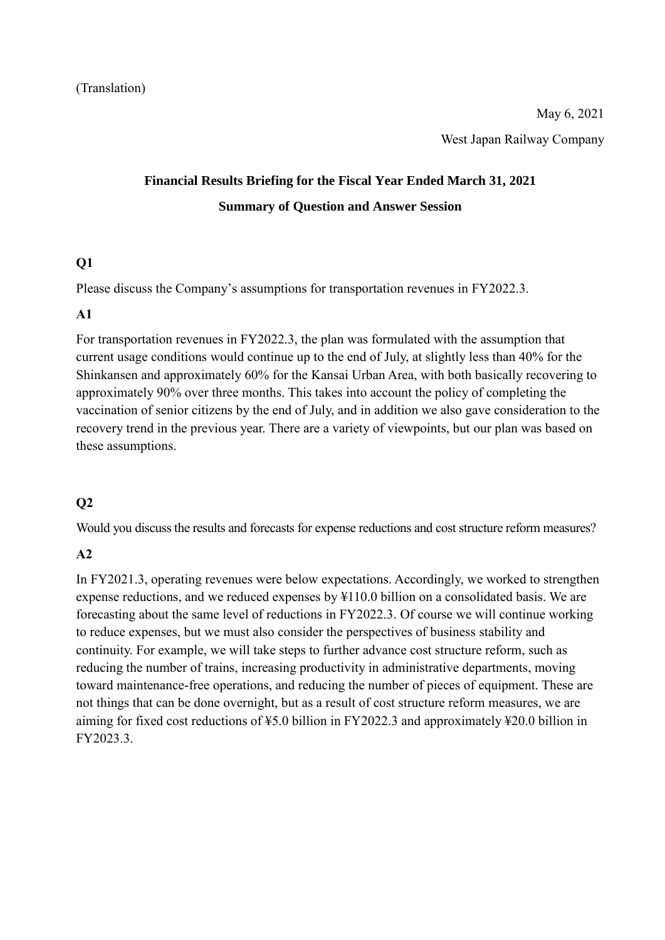# **Financial Results Briefing for the Fiscal Year Ended March 31, 2021 Summary of Question and Answer Session**

#### **Q1**

Please discuss the Company's assumptions for transportation revenues in FY2022.3.

#### **A1**

For transportation revenues in FY2022.3, the plan was formulated with the assumption that current usage conditions would continue up to the end of July, at slightly less than 40% for the Shinkansen and approximately 60% for the Kansai Urban Area, with both basically recovering to approximately 90% over three months. This takes into account the policy of completing the vaccination of senior citizens by the end of July, and in addition we also gave consideration to the recovery trend in the previous year. There are a variety of viewpoints, but our plan was based on these assumptions.

#### **Q2**

Would you discuss the results and forecasts for expense reductions and cost structure reform measures?

#### **A2**

In FY2021.3, operating revenues were below expectations. Accordingly, we worked to strengthen expense reductions, and we reduced expenses by ¥110.0 billion on a consolidated basis. We are forecasting about the same level of reductions in FY2022.3. Of course we will continue working to reduce expenses, but we must also consider the perspectives of business stability and continuity. For example, we will take steps to further advance cost structure reform, such as reducing the number of trains, increasing productivity in administrative departments, moving toward maintenance-free operations, and reducing the number of pieces of equipment. These are not things that can be done overnight, but as a result of cost structure reform measures, we are aiming for fixed cost reductions of ¥5.0 billion in FY2022.3 and approximately ¥20.0 billion in FY2023.3.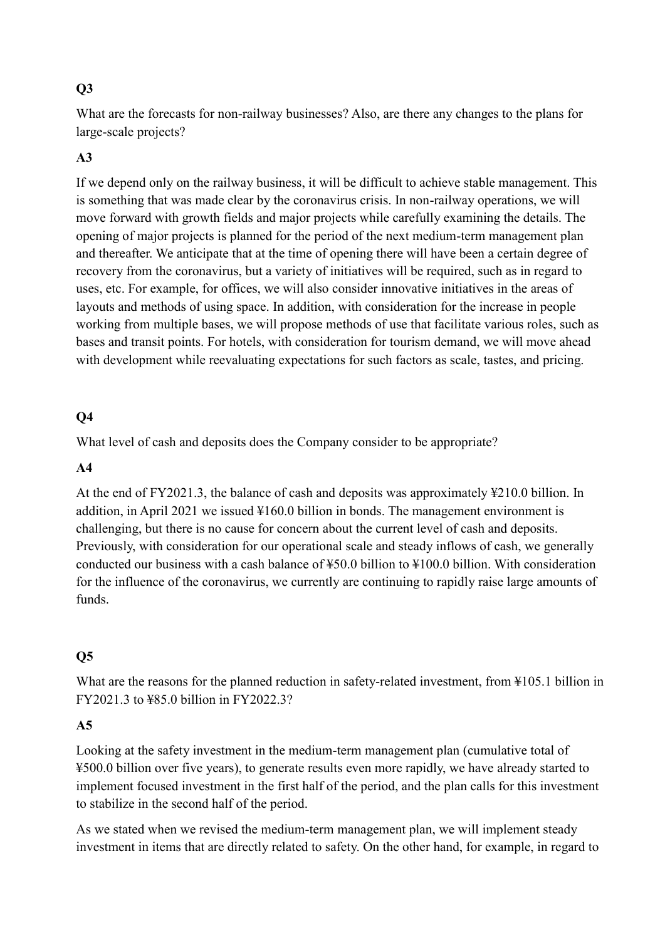## **Q3**

What are the forecasts for non-railway businesses? Also, are there any changes to the plans for large-scale projects?

### **A3**

If we depend only on the railway business, it will be difficult to achieve stable management. This is something that was made clear by the coronavirus crisis. In non-railway operations, we will move forward with growth fields and major projects while carefully examining the details. The opening of major projects is planned for the period of the next medium-term management plan and thereafter. We anticipate that at the time of opening there will have been a certain degree of recovery from the coronavirus, but a variety of initiatives will be required, such as in regard to uses, etc. For example, for offices, we will also consider innovative initiatives in the areas of layouts and methods of using space. In addition, with consideration for the increase in people working from multiple bases, we will propose methods of use that facilitate various roles, such as bases and transit points. For hotels, with consideration for tourism demand, we will move ahead with development while reevaluating expectations for such factors as scale, tastes, and pricing.

## **Q4**

What level of cash and deposits does the Company consider to be appropriate?

#### **A4**

At the end of FY2021.3, the balance of cash and deposits was approximately ¥210.0 billion. In addition, in April 2021 we issued ¥160.0 billion in bonds. The management environment is challenging, but there is no cause for concern about the current level of cash and deposits. Previously, with consideration for our operational scale and steady inflows of cash, we generally conducted our business with a cash balance of ¥50.0 billion to ¥100.0 billion. With consideration for the influence of the coronavirus, we currently are continuing to rapidly raise large amounts of funds.

#### **Q5**

What are the reasons for the planned reduction in safety-related investment, from ¥105.1 billion in FY2021.3 to ¥85.0 billion in FY2022.3?

#### **A5**

Looking at the safety investment in the medium-term management plan (cumulative total of ¥500.0 billion over five years), to generate results even more rapidly, we have already started to implement focused investment in the first half of the period, and the plan calls for this investment to stabilize in the second half of the period.

As we stated when we revised the medium-term management plan, we will implement steady investment in items that are directly related to safety. On the other hand, for example, in regard to